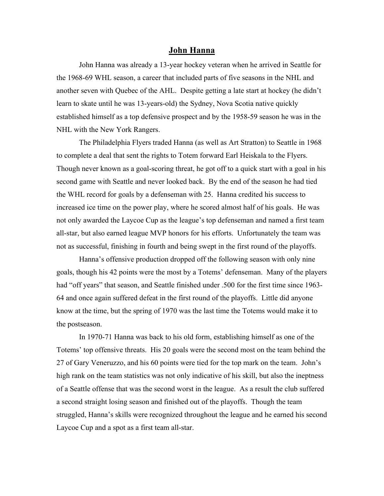## **John Hanna**

John Hanna was already a 13-year hockey veteran when he arrived in Seattle for the 1968-69 WHL season, a career that included parts of five seasons in the NHL and another seven with Quebec of the AHL. Despite getting a late start at hockey (he didn't learn to skate until he was 13-years-old) the Sydney, Nova Scotia native quickly established himself as a top defensive prospect and by the 1958-59 season he was in the NHL with the New York Rangers.

The Philadelphia Flyers traded Hanna (as well as Art Stratton) to Seattle in 1968 to complete a deal that sent the rights to Totem forward Earl Heiskala to the Flyers. Though never known as a goal-scoring threat, he got off to a quick start with a goal in his second game with Seattle and never looked back. By the end of the season he had tied the WHL record for goals by a defenseman with 25. Hanna credited his success to increased ice time on the power play, where he scored almost half of his goals. He was not only awarded the Laycoe Cup as the league's top defenseman and named a first team all-star, but also earned league MVP honors for his efforts. Unfortunately the team was not as successful, finishing in fourth and being swept in the first round of the playoffs.

Hanna's offensive production dropped off the following season with only nine goals, though his 42 points were the most by a Totems' defenseman. Many of the players had "off years" that season, and Seattle finished under .500 for the first time since 1963-64 and once again suffered defeat in the first round of the playoffs. Little did anyone know at the time, but the spring of 1970 was the last time the Totems would make it to the postseason.

In 1970-71 Hanna was back to his old form, establishing himself as one of the Totems' top offensive threats. His 20 goals were the second most on the team behind the 27 of Gary Veneruzzo, and his 60 points were tied for the top mark on the team. John's high rank on the team statistics was not only indicative of his skill, but also the ineptness of a Seattle offense that was the second worst in the league. As a result the club suffered a second straight losing season and finished out of the playoffs. Though the team struggled, Hanna's skills were recognized throughout the league and he earned his second Laycoe Cup and a spot as a first team all-star.